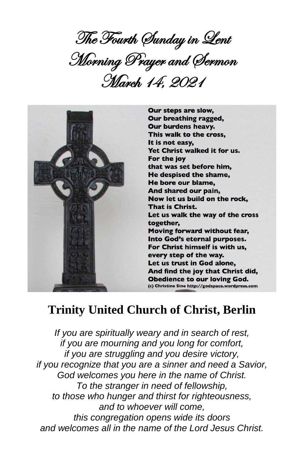The Fourth Sunday in Lent Morning Prayer and Sermon March 14, 2021



# **Trinity United Church of Christ, Berlin**

*If you are spiritually weary and in search of rest, if you are mourning and you long for comfort, if you are struggling and you desire victory, if you recognize that you are a sinner and need a Savior, God welcomes you here in the name of Christ. To the stranger in need of fellowship, to those who hunger and thirst for righteousness, and to whoever will come, this congregation opens wide its doors and welcomes all in the name of the Lord Jesus Christ.*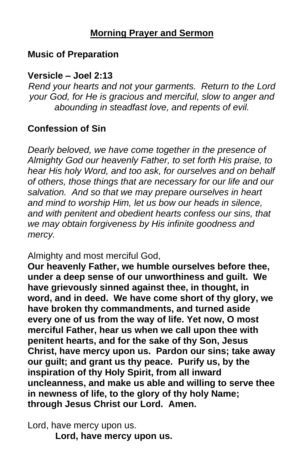## **Morning Prayer and Sermon**

#### **Music of Preparation**

#### **Versicle – Joel 2:13**

*Rend your hearts and not your garments. Return to the Lord your God, for He is gracious and merciful, slow to anger and abounding in steadfast love, and repents of evil.*

## **Confession of Sin**

*Dearly beloved, we have come together in the presence of Almighty God our heavenly Father, to set forth His praise, to hear His holy Word, and too ask, for ourselves and on behalf of others, those things that are necessary for our life and our salvation. And so that we may prepare ourselves in heart and mind to worship Him, let us bow our heads in silence, and with penitent and obedient hearts confess our sins, that we may obtain forgiveness by His infinite goodness and mercy.*

Almighty and most merciful God,

**Our heavenly Father, we humble ourselves before thee, under a deep sense of our unworthiness and guilt. We have grievously sinned against thee, in thought, in word, and in deed. We have come short of thy glory, we have broken thy commandments, and turned aside every one of us from the way of life. Yet now, O most merciful Father, hear us when we call upon thee with penitent hearts, and for the sake of thy Son, Jesus Christ, have mercy upon us. Pardon our sins; take away our guilt; and grant us thy peace. Purify us, by the inspiration of thy Holy Spirit, from all inward uncleanness, and make us able and willing to serve thee in newness of life, to the glory of thy holy Name; through Jesus Christ our Lord. Amen.**

Lord, have mercy upon us. **Lord, have mercy upon us.**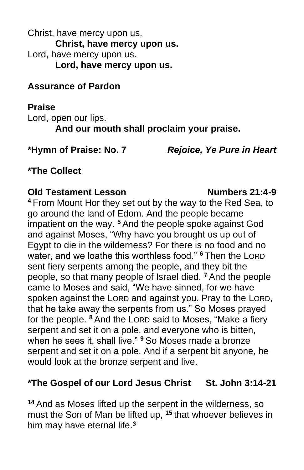Christ, have mercy upon us. **Christ, have mercy upon us.** Lord, have mercy upon us. **Lord, have mercy upon us.**

## **Assurance of Pardon**

#### **Praise**

Lord, open our lips. **And our mouth shall proclaim your praise.**

**\*Hymn of Praise: No. 7** *Rejoice, Ye Pure in Heart*

# **\*The Collect**

#### **Old Testament Lesson Numbers 21:4-9**

**<sup>4</sup>** From Mount Hor they set out by the way to the Red Sea, to go around the land of Edom. And the people became impatient on the way. **<sup>5</sup>** And the people spoke against God and against Moses, "Why have you brought us up out of Egypt to die in the wilderness? For there is no food and no water, and we loathe this worthless food." **<sup>6</sup>** Then the LORD sent fiery serpents among the people, and they bit the people, so that many people of Israel died. **<sup>7</sup>** And the people came to Moses and said, "We have sinned, for we have spoken against the LORD and against you. Pray to the LORD, that he take away the serpents from us." So Moses prayed for the people. **<sup>8</sup>** And the LORD said to Moses, "Make a fiery serpent and set it on a pole, and everyone who is bitten, when he sees it, shall live." **<sup>9</sup>** So Moses made a bronze serpent and set it on a pole. And if a serpent bit anyone, he would look at the bronze serpent and live.

## **\*The Gospel of our Lord Jesus Christ St. John 3:14-21**

**<sup>14</sup>** And as Moses lifted up the serpent in the wilderness, so must the Son of Man be lifted up, **<sup>15</sup>** that whoever believes in him may have eternal life.*8*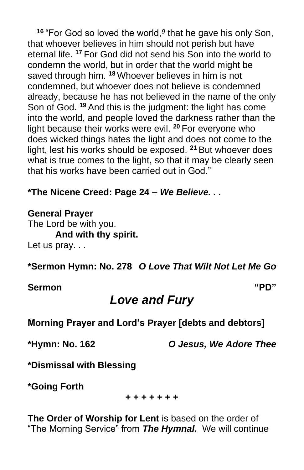**<sup>16</sup>** "For God so loved the world,*<sup>9</sup>* that he gave his only Son, that whoever believes in him should not perish but have eternal life. **<sup>17</sup>** For God did not send his Son into the world to condemn the world, but in order that the world might be saved through him. **<sup>18</sup>** Whoever believes in him is not condemned, but whoever does not believe is condemned already, because he has not believed in the name of the only Son of God. **<sup>19</sup>** And this is the judgment: the light has come into the world, and people loved the darkness rather than the light because their works were evil. **<sup>20</sup>** For everyone who does wicked things hates the light and does not come to the light, lest his works should be exposed. **<sup>21</sup>** But whoever does what is true comes to the light, so that it may be clearly seen that his works have been carried out in God."

**\*The Nicene Creed: Page 24 –** *We Believe. . .*

**General Prayer** The Lord be with you. **And with thy spirit.** Let us pray...

**\*Sermon Hymn: No. 278** *O Love That Wilt Not Let Me Go*

**Sermon "PD"**

# *Love and Fury*

**Morning Prayer and Lord's Prayer [debts and debtors]**

**\*Hymn: No. 162** *O Jesus, We Adore Thee*

**\*Dismissal with Blessing**

**\*Going Forth**

**+ + + + + + +**

**The Order of Worship for Lent** is based on the order of "The Morning Service" from *The Hymnal.* We will continue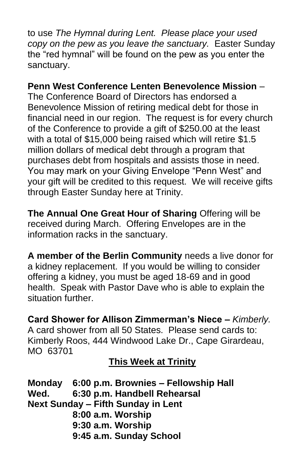to use *The Hymnal during Lent. Please place your used copy on the pew as you leave the sanctuary.* Easter Sunday the "red hymnal" will be found on the pew as you enter the sanctuary.

# **Penn West Conference Lenten Benevolence Mission** –

The Conference Board of Directors has endorsed a Benevolence Mission of retiring medical debt for those in financial need in our region. The request is for every church of the Conference to provide a gift of \$250.00 at the least with a total of \$15,000 being raised which will retire \$1.5 million dollars of medical debt through a program that purchases debt from hospitals and assists those in need. You may mark on your Giving Envelope "Penn West" and your gift will be credited to this request. We will receive gifts through Easter Sunday here at Trinity.

**The Annual One Great Hour of Sharing** Offering will be received during March. Offering Envelopes are in the information racks in the sanctuary.

**A member of the Berlin Community** needs a live donor for a kidney replacement. If you would be willing to consider offering a kidney, you must be aged 18-69 and in good health. Speak with Pastor Dave who is able to explain the situation further.

**Card Shower for Allison Zimmerman's Niece –** *Kimberly.* A card shower from all 50 States. Please send cards to: Kimberly Roos, 444 Windwood Lake Dr., Cape Girardeau, MO 63701

**This Week at Trinity**

**Monday 6:00 p.m. Brownies – Fellowship Hall Wed. 6:30 p.m. Handbell Rehearsal Next Sunday – Fifth Sunday in Lent 8:00 a.m. Worship 9:30 a.m. Worship 9:45 a.m. Sunday School**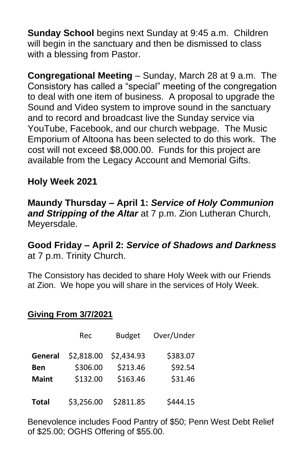**Sunday School** begins next Sunday at 9:45 a.m. Children will begin in the sanctuary and then be dismissed to class with a blessing from Pastor.

**Congregational Meeting** – Sunday, March 28 at 9 a.m. The Consistory has called a "special" meeting of the congregation to deal with one item of business. A proposal to upgrade the Sound and Video system to improve sound in the sanctuary and to record and broadcast live the Sunday service via YouTube, Facebook, and our church webpage. The Music Emporium of Altoona has been selected to do this work. The cost will not exceed \$8,000.00. Funds for this project are available from the Legacy Account and Memorial Gifts.

#### **Holy Week 2021**

#### **Maundy Thursday – April 1:** *Service of Holy Communion and Stripping of the Altar* at 7 p.m. Zion Lutheran Church, Meyersdale.

#### **Good Friday – April 2:** *Service of Shadows and Darkness* at 7 p.m. Trinity Church.

The Consistory has decided to share Holy Week with our Friends at Zion. We hope you will share in the services of Holy Week.

#### **Giving From 3/7/2021**

|              | Rec        | <b>Budget</b> | Over/Under |
|--------------|------------|---------------|------------|
| General      | \$2,818.00 | \$2,434.93    | \$383.07   |
| <b>Ben</b>   | \$306.00   | \$213.46      | \$92.54    |
| <b>Maint</b> | \$132.00   | \$163.46      | \$31.46    |
| <b>Total</b> | \$3,256.00 | \$2811.85     | \$444.15   |

Benevolence includes Food Pantry of \$50; Penn West Debt Relief of \$25.00; OGHS Offering of \$55.00.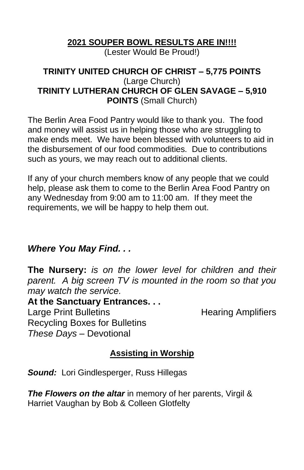#### **2021 SOUPER BOWL RESULTS ARE IN!!!!** (Lester Would Be Proud!)

#### **TRINITY UNITED CHURCH OF CHRIST – 5,775 POINTS** (Large Church) **TRINITY LUTHERAN CHURCH OF GLEN SAVAGE – 5,910 POINTS** (Small Church)

The Berlin Area Food Pantry would like to thank you. The food and money will assist us in helping those who are struggling to make ends meet. We have been blessed with volunteers to aid in the disbursement of our food commodities. Due to contributions such as yours, we may reach out to additional clients.

If any of your church members know of any people that we could help, please ask them to come to the Berlin Area Food Pantry on any Wednesday from 9:00 am to 11:00 am. If they meet the requirements, we will be happy to help them out.

#### *Where You May Find. . .*

**The Nursery:** *is on the lower level for children and their parent. A big screen TV is mounted in the room so that you may watch the service.*

**At the Sanctuary Entrances. . .** Large Print Bulletins **Example 20 Find Amplifiers** Recycling Boxes for Bulletins *These Days –* Devotional

# **Assisting in Worship**

*Sound:* Lori Gindlesperger, Russ Hillegas

*The Flowers on the altar* in memory of her parents, Virgil & Harriet Vaughan by Bob & Colleen Glotfelty